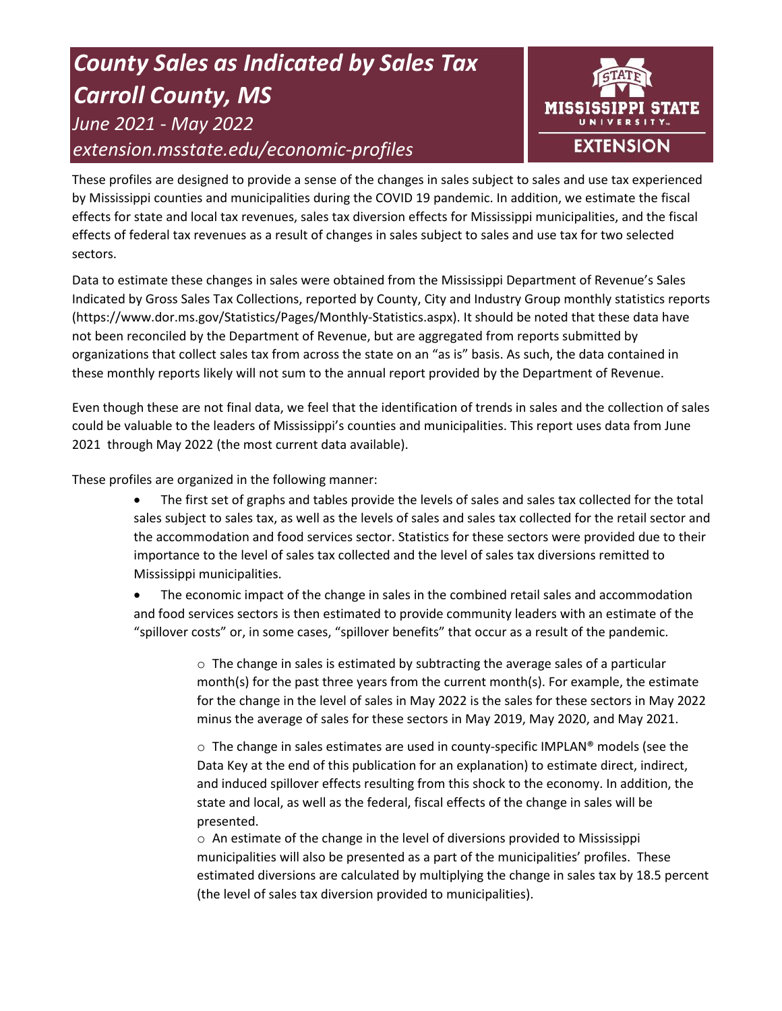# *County Sales as Indicated by Sales Tax Carroll County, MS June 2021 - May 2022 extension.msstate.edu/economic-profiles*



These profiles are designed to provide a sense of the changes in sales subject to sales and use tax experienced by Mississippi counties and municipalities during the COVID 19 pandemic. In addition, we estimate the fiscal effects for state and local tax revenues, sales tax diversion effects for Mississippi municipalities, and the fiscal effects of federal tax revenues as a result of changes in sales subject to sales and use tax for two selected sectors.

Data to estimate these changes in sales were obtained from the Mississippi Department of Revenue's Sales Indicated by Gross Sales Tax Collections, reported by County, City and Industry Group monthly statistics reports (https://www.dor.ms.gov/Statistics/Pages/Monthly-Statistics.aspx). It should be noted that these data have not been reconciled by the Department of Revenue, but are aggregated from reports submitted by organizations that collect sales tax from across the state on an "as is" basis. As such, the data contained in these monthly reports likely will not sum to the annual report provided by the Department of Revenue.

Even though these are not final data, we feel that the identification of trends in sales and the collection of sales could be valuable to the leaders of Mississippi's counties and municipalities. This report uses data from June 2021 through May 2022 (the most current data available).

These profiles are organized in the following manner:

- The first set of graphs and tables provide the levels of sales and sales tax collected for the total sales subject to sales tax, as well as the levels of sales and sales tax collected for the retail sector and the accommodation and food services sector. Statistics for these sectors were provided due to their importance to the level of sales tax collected and the level of sales tax diversions remitted to Mississippi municipalities.
- The economic impact of the change in sales in the combined retail sales and accommodation and food services sectors is then estimated to provide community leaders with an estimate of the "spillover costs" or, in some cases, "spillover benefits" that occur as a result of the pandemic.

 $\circ$  The change in sales is estimated by subtracting the average sales of a particular month(s) for the past three years from the current month(s). For example, the estimate for the change in the level of sales in May 2022 is the sales for these sectors in May 2022 minus the average of sales for these sectors in May 2019, May 2020, and May 2021.

 $\circ$  The change in sales estimates are used in county-specific IMPLAN® models (see the Data Key at the end of this publication for an explanation) to estimate direct, indirect, and induced spillover effects resulting from this shock to the economy. In addition, the state and local, as well as the federal, fiscal effects of the change in sales will be presented.

 $\circ$  An estimate of the change in the level of diversions provided to Mississippi municipalities will also be presented as a part of the municipalities' profiles. These estimated diversions are calculated by multiplying the change in sales tax by 18.5 percent (the level of sales tax diversion provided to municipalities).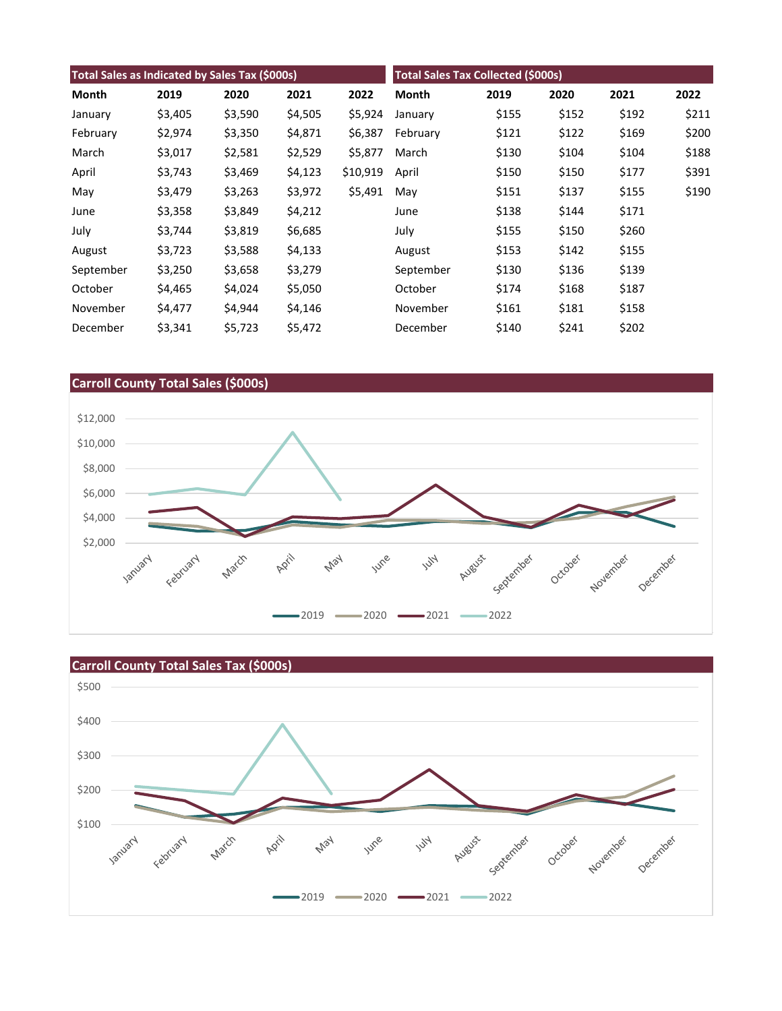| Total Sales as Indicated by Sales Tax (\$000s) |         |         |         | <b>Total Sales Tax Collected (\$000s)</b> |           |       |       |       |       |
|------------------------------------------------|---------|---------|---------|-------------------------------------------|-----------|-------|-------|-------|-------|
| Month                                          | 2019    | 2020    | 2021    | 2022                                      | Month     | 2019  | 2020  | 2021  | 2022  |
| January                                        | \$3,405 | \$3,590 | \$4,505 | \$5,924                                   | January   | \$155 | \$152 | \$192 | \$211 |
| February                                       | \$2,974 | \$3,350 | \$4,871 | \$6,387                                   | February  | \$121 | \$122 | \$169 | \$200 |
| March                                          | \$3,017 | \$2,581 | \$2,529 | \$5,877                                   | March     | \$130 | \$104 | \$104 | \$188 |
| April                                          | \$3,743 | \$3,469 | \$4,123 | \$10,919                                  | April     | \$150 | \$150 | \$177 | \$391 |
| May                                            | \$3,479 | \$3,263 | \$3,972 | \$5,491                                   | May       | \$151 | \$137 | \$155 | \$190 |
| June                                           | \$3,358 | \$3,849 | \$4,212 |                                           | June      | \$138 | \$144 | \$171 |       |
| July                                           | \$3,744 | \$3,819 | \$6,685 |                                           | July      | \$155 | \$150 | \$260 |       |
| August                                         | \$3,723 | \$3,588 | \$4,133 |                                           | August    | \$153 | \$142 | \$155 |       |
| September                                      | \$3,250 | \$3,658 | \$3,279 |                                           | September | \$130 | \$136 | \$139 |       |
| October                                        | \$4,465 | \$4,024 | \$5,050 |                                           | October   | \$174 | \$168 | \$187 |       |
| November                                       | \$4,477 | \$4,944 | \$4,146 |                                           | November  | \$161 | \$181 | \$158 |       |
| December                                       | \$3,341 | \$5,723 | \$5,472 |                                           | December  | \$140 | \$241 | \$202 |       |



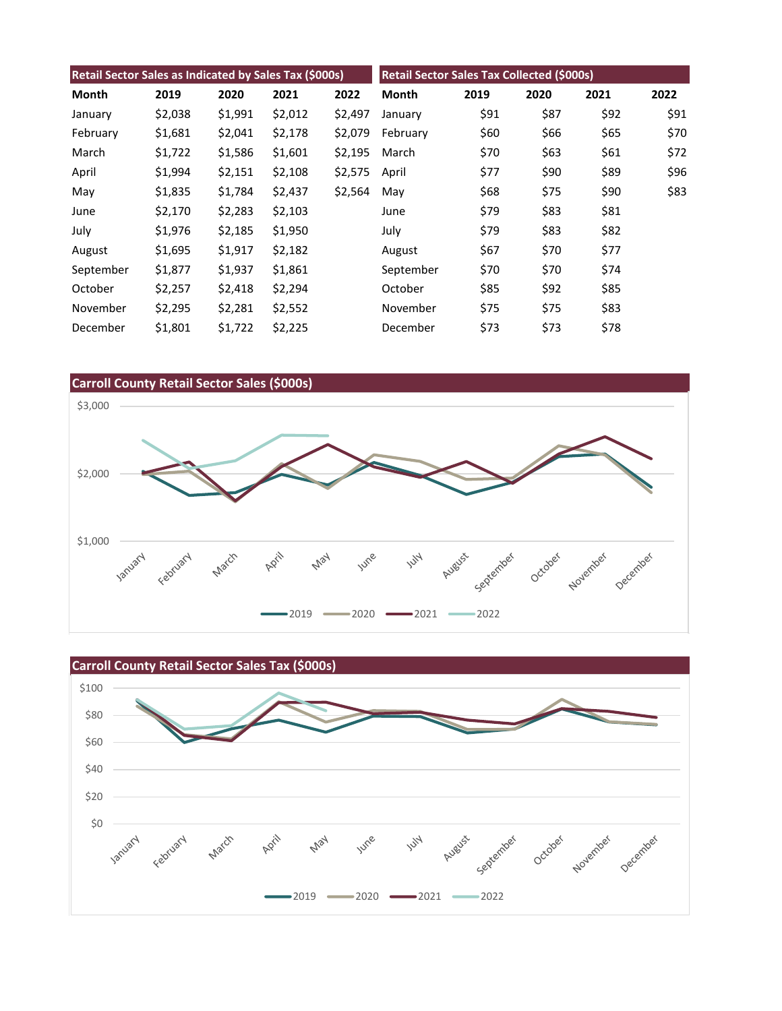| Retail Sector Sales as Indicated by Sales Tax (\$000s) |         |         |         | <b>Retail Sector Sales Tax Collected (\$000s)</b> |              |      |      |      |      |
|--------------------------------------------------------|---------|---------|---------|---------------------------------------------------|--------------|------|------|------|------|
| Month                                                  | 2019    | 2020    | 2021    | 2022                                              | <b>Month</b> | 2019 | 2020 | 2021 | 2022 |
| January                                                | \$2,038 | \$1,991 | \$2,012 | \$2,497                                           | January      | \$91 | \$87 | \$92 | \$91 |
| February                                               | \$1,681 | \$2,041 | \$2,178 | \$2,079                                           | February     | \$60 | \$66 | \$65 | \$70 |
| March                                                  | \$1,722 | \$1,586 | \$1,601 | \$2,195                                           | March        | \$70 | \$63 | \$61 | \$72 |
| April                                                  | \$1,994 | \$2,151 | \$2,108 | \$2,575                                           | April        | \$77 | \$90 | \$89 | \$96 |
| May                                                    | \$1,835 | \$1,784 | \$2,437 | \$2,564                                           | May          | \$68 | \$75 | \$90 | \$83 |
| June                                                   | \$2,170 | \$2,283 | \$2,103 |                                                   | June         | \$79 | \$83 | \$81 |      |
| July                                                   | \$1,976 | \$2,185 | \$1,950 |                                                   | July         | \$79 | \$83 | \$82 |      |
| August                                                 | \$1,695 | \$1,917 | \$2,182 |                                                   | August       | \$67 | \$70 | \$77 |      |
| September                                              | \$1,877 | \$1,937 | \$1,861 |                                                   | September    | \$70 | \$70 | \$74 |      |
| October                                                | \$2,257 | \$2,418 | \$2,294 |                                                   | October      | \$85 | \$92 | \$85 |      |
| November                                               | \$2,295 | \$2,281 | \$2,552 |                                                   | November     | \$75 | \$75 | \$83 |      |
| December                                               | \$1,801 | \$1,722 | \$2,225 |                                                   | December     | \$73 | \$73 | \$78 |      |



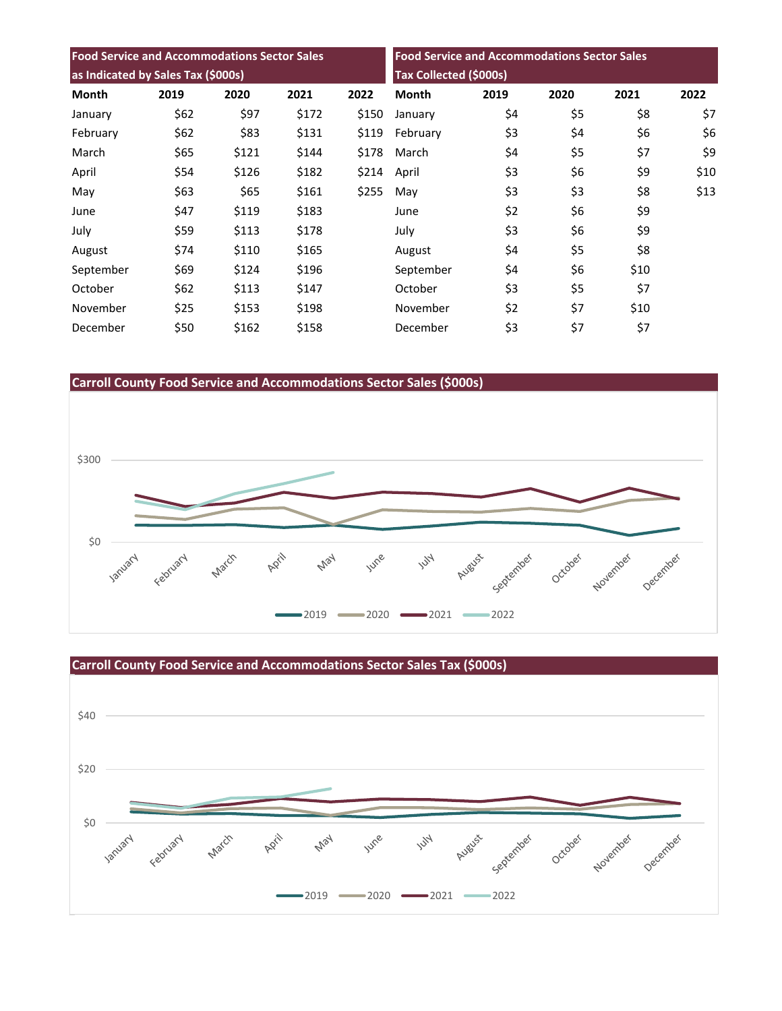| <b>Food Service and Accommodations Sector Sales</b> |      |       |       | <b>Food Service and Accommodations Sector Sales</b> |                        |      |      |      |      |
|-----------------------------------------------------|------|-------|-------|-----------------------------------------------------|------------------------|------|------|------|------|
| as Indicated by Sales Tax (\$000s)                  |      |       |       |                                                     | Tax Collected (\$000s) |      |      |      |      |
| <b>Month</b>                                        | 2019 | 2020  | 2021  | 2022                                                | <b>Month</b>           | 2019 | 2020 | 2021 | 2022 |
| January                                             | \$62 | \$97  | \$172 | \$150                                               | January                | \$4  | \$5  | \$8  | \$7  |
| February                                            | \$62 | \$83  | \$131 | \$119                                               | February               | \$3  | \$4  | \$6  | \$6  |
| March                                               | \$65 | \$121 | \$144 | \$178                                               | March                  | \$4  | \$5  | \$7  | \$9  |
| April                                               | \$54 | \$126 | \$182 | \$214                                               | April                  | \$3  | \$6  | \$9  | \$10 |
| May                                                 | \$63 | \$65  | \$161 | \$255                                               | May                    | \$3  | \$3  | \$8  | \$13 |
| June                                                | \$47 | \$119 | \$183 |                                                     | June                   | \$2  | \$6  | \$9  |      |
| July                                                | \$59 | \$113 | \$178 |                                                     | July                   | \$3  | \$6  | \$9  |      |
| August                                              | \$74 | \$110 | \$165 |                                                     | August                 | \$4  | \$5  | \$8  |      |
| September                                           | \$69 | \$124 | \$196 |                                                     | September              | \$4  | \$6  | \$10 |      |
| October                                             | \$62 | \$113 | \$147 |                                                     | October                | \$3  | \$5  | \$7  |      |
| November                                            | \$25 | \$153 | \$198 |                                                     | November               | \$2  | \$7  | \$10 |      |
| December                                            | \$50 | \$162 | \$158 |                                                     | December               | \$3  | \$7  | \$7  |      |





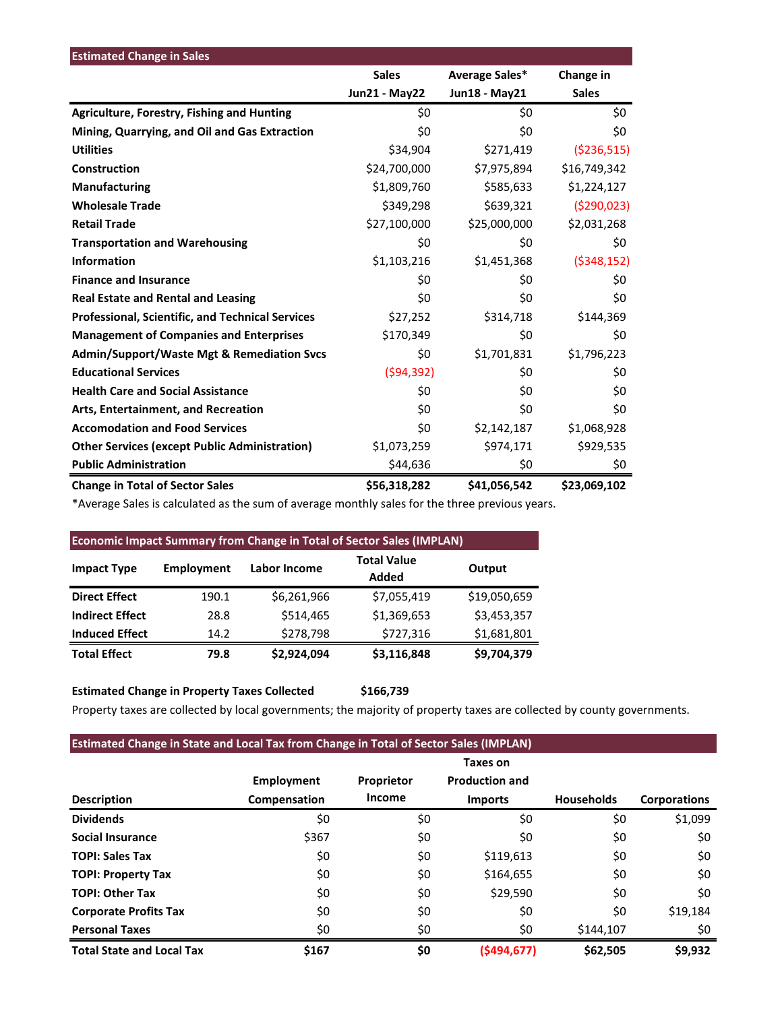| <b>Estimated Change in Sales</b>                        |                      |                |               |
|---------------------------------------------------------|----------------------|----------------|---------------|
|                                                         | <b>Sales</b>         | Average Sales* | Change in     |
|                                                         | <b>Jun21 - May22</b> | Jun18 - May21  | <b>Sales</b>  |
| <b>Agriculture, Forestry, Fishing and Hunting</b>       | \$0                  | \$0            | \$0           |
| Mining, Quarrying, and Oil and Gas Extraction           | \$0                  | \$0            | \$0           |
| <b>Utilities</b>                                        | \$34,904             | \$271,419      | ( \$236, 515) |
| Construction                                            | \$24,700,000         | \$7,975,894    | \$16,749,342  |
| <b>Manufacturing</b>                                    | \$1,809,760          | \$585,633      | \$1,224,127   |
| <b>Wholesale Trade</b>                                  | \$349,298            | \$639,321      | (5290, 023)   |
| <b>Retail Trade</b>                                     | \$27,100,000         | \$25,000,000   | \$2,031,268   |
| <b>Transportation and Warehousing</b>                   | \$0                  | \$0            | \$0           |
| <b>Information</b>                                      | \$1,103,216          | \$1,451,368    | ( \$348, 152) |
| <b>Finance and Insurance</b>                            | \$0                  | \$0            | \$0           |
| <b>Real Estate and Rental and Leasing</b>               | \$0                  | \$0            | \$0           |
| <b>Professional, Scientific, and Technical Services</b> | \$27,252             | \$314,718      | \$144,369     |
| <b>Management of Companies and Enterprises</b>          | \$170,349            | \$0            | \$0           |
| <b>Admin/Support/Waste Mgt &amp; Remediation Svcs</b>   | \$0                  | \$1,701,831    | \$1,796,223   |
| <b>Educational Services</b>                             | (594, 392)           | \$0            | \$0           |
| <b>Health Care and Social Assistance</b>                | \$0                  | \$0            | \$0           |
| Arts, Entertainment, and Recreation                     | \$0                  | \$0            | \$0           |
| <b>Accomodation and Food Services</b>                   | \$0                  | \$2,142,187    | \$1,068,928   |
| <b>Other Services (except Public Administration)</b>    | \$1,073,259          | \$974,171      | \$929,535     |
| <b>Public Administration</b>                            | \$44,636             | \$0            | \$0           |
| <b>Change in Total of Sector Sales</b>                  | \$56,318,282         | \$41,056,542   | \$23,069,102  |

\*Average Sales is calculated as the sum of average monthly sales for the three previous years.

| <b>Economic Impact Summary from Change in Total of Sector Sales (IMPLAN)</b> |            |                     |                             |              |  |  |  |  |
|------------------------------------------------------------------------------|------------|---------------------|-----------------------------|--------------|--|--|--|--|
| <b>Impact Type</b>                                                           | Employment | <b>Labor Income</b> | <b>Total Value</b><br>Added | Output       |  |  |  |  |
| <b>Direct Effect</b>                                                         | 190.1      | \$6,261,966         | \$7,055,419                 | \$19,050,659 |  |  |  |  |
| <b>Indirect Effect</b>                                                       | 28.8       | \$514,465           | \$1,369,653                 | \$3,453,357  |  |  |  |  |
| <b>Induced Effect</b>                                                        | 14.2       | \$278,798           | \$727,316                   | \$1,681,801  |  |  |  |  |
| <b>Total Effect</b>                                                          | 79.8       | \$2,924,094         | \$3,116,848                 | \$9,704,379  |  |  |  |  |

**Estimated Change in Property Taxes Collected \$166,739**

Property taxes are collected by local governments; the majority of property taxes are collected by county governments.

| <b>Estimated Change in State and Local Tax from Change in Total of Sector Sales (IMPLAN)</b> |                   |            |                       |                   |                     |  |  |  |
|----------------------------------------------------------------------------------------------|-------------------|------------|-----------------------|-------------------|---------------------|--|--|--|
|                                                                                              |                   |            | Taxes on              |                   |                     |  |  |  |
|                                                                                              | <b>Employment</b> | Proprietor | <b>Production and</b> |                   |                     |  |  |  |
| <b>Description</b>                                                                           | Compensation      | Income     | <b>Imports</b>        | <b>Households</b> | <b>Corporations</b> |  |  |  |
| <b>Dividends</b>                                                                             | \$0               | \$0        | \$0                   | \$0               | \$1,099             |  |  |  |
| <b>Social Insurance</b>                                                                      | \$367             | \$0        | \$0                   | \$0               | \$0                 |  |  |  |
| <b>TOPI: Sales Tax</b>                                                                       | \$0               | \$0        | \$119,613             | \$0               | \$0                 |  |  |  |
| <b>TOPI: Property Tax</b>                                                                    | \$0               | \$0        | \$164,655             | \$0               | \$0                 |  |  |  |
| <b>TOPI: Other Tax</b>                                                                       | \$0               | \$0        | \$29,590              | \$0               | \$0                 |  |  |  |
| <b>Corporate Profits Tax</b>                                                                 | \$0               | \$0        | \$0                   | \$0               | \$19,184            |  |  |  |
| <b>Personal Taxes</b>                                                                        | \$0               | \$0        | \$0                   | \$144,107         | \$0                 |  |  |  |
| <b>Total State and Local Tax</b>                                                             | \$167             | \$0        | (\$494,677)           | \$62,505          | \$9,932             |  |  |  |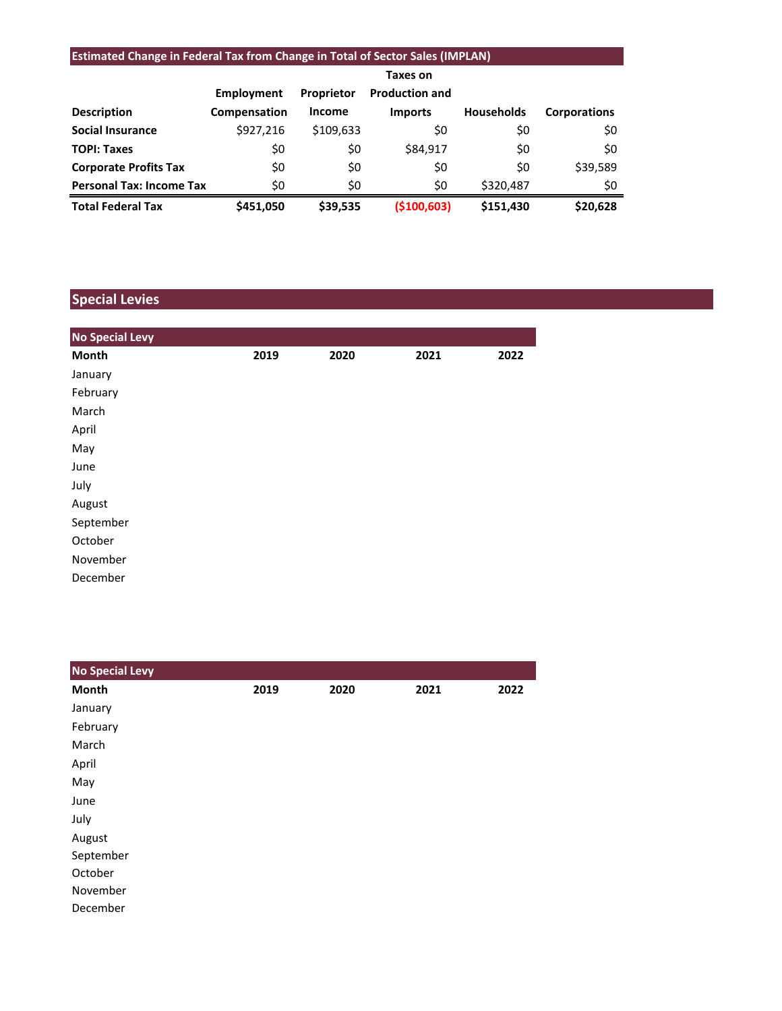# **Estimated Change in Federal Tax from Change in Total of Sector Sales (IMPLAN)**

|                                 |              |               | Taxes on              |                   |                     |
|---------------------------------|--------------|---------------|-----------------------|-------------------|---------------------|
|                                 | Employment   | Proprietor    | <b>Production and</b> |                   |                     |
| <b>Description</b>              | Compensation | <b>Income</b> | <b>Imports</b>        | <b>Households</b> | <b>Corporations</b> |
| <b>Social Insurance</b>         | \$927,216    | \$109,633     | \$0                   | \$0               | \$0                 |
| <b>TOPI: Taxes</b>              | \$0          | \$0           | \$84,917              | \$0               | \$0                 |
| <b>Corporate Profits Tax</b>    | \$0          | \$0           | \$0                   | \$0               | \$39,589            |
| <b>Personal Tax: Income Tax</b> | \$0          | \$0           | \$0                   | \$320,487         | \$0                 |
| <b>Total Federal Tax</b>        | \$451,050    | \$39,535      | ( \$100, 603)         | \$151,430         | \$20,628            |

# **Special Levies**

| <b>No Special Levy</b> |      |      |      |      |
|------------------------|------|------|------|------|
| Month                  | 2019 | 2020 | 2021 | 2022 |
| January                |      |      |      |      |
| February               |      |      |      |      |
| March                  |      |      |      |      |
| April                  |      |      |      |      |
| May                    |      |      |      |      |
| June                   |      |      |      |      |
| July                   |      |      |      |      |
| August                 |      |      |      |      |
| September              |      |      |      |      |
| October                |      |      |      |      |
| November               |      |      |      |      |
| December               |      |      |      |      |

| <b>No Special Levy</b> |      |      |      |      |
|------------------------|------|------|------|------|
| Month                  | 2019 | 2020 | 2021 | 2022 |
| January                |      |      |      |      |
| February               |      |      |      |      |
| March                  |      |      |      |      |
| April                  |      |      |      |      |
| May                    |      |      |      |      |
| June                   |      |      |      |      |
| July                   |      |      |      |      |
| August                 |      |      |      |      |
| September              |      |      |      |      |
| October                |      |      |      |      |
| November               |      |      |      |      |
| December               |      |      |      |      |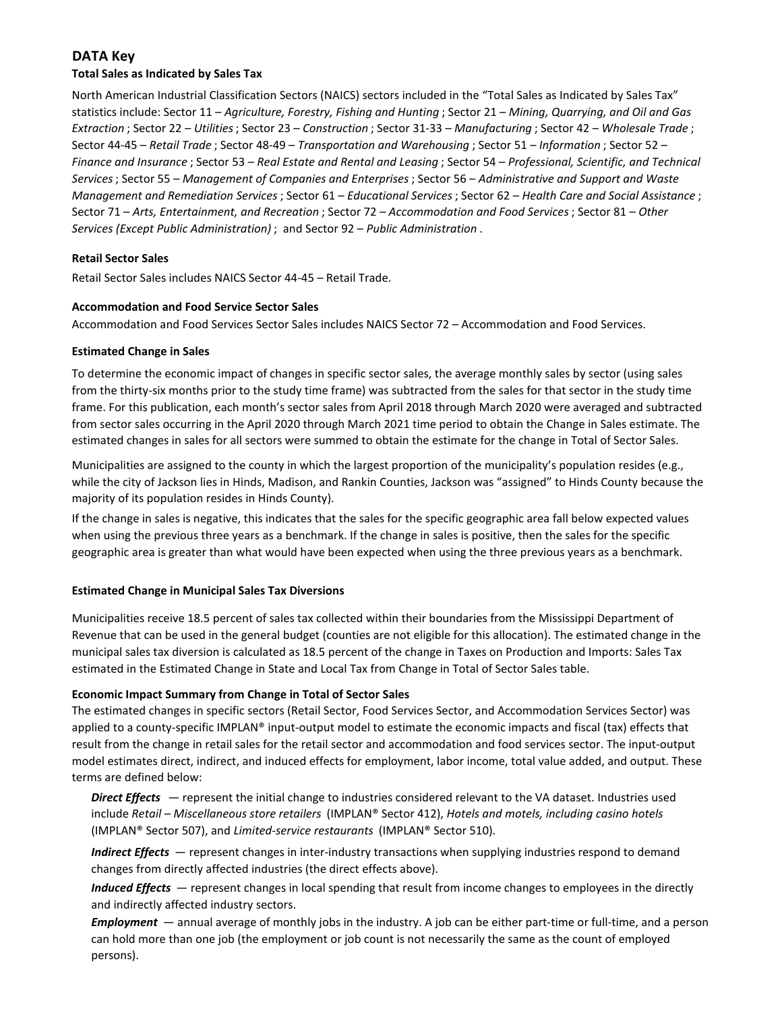# **DATA Key**

#### **Total Sales as Indicated by Sales Tax**

North American Industrial Classification Sectors (NAICS) sectors included in the "Total Sales as Indicated by Sales Tax" statistics include: Sector 11 – *Agriculture, Forestry, Fishing and Hunting* ; Sector 21 – *Mining, Quarrying, and Oil and Gas Extraction* ; Sector 22 – *Utilities*; Sector 23 – *Construction* ; Sector 31-33 – *Manufacturing* ; Sector 42 – *Wholesale Trade* ; Sector 44-45 – *Retail Trade* ; Sector 48-49 – *Transportation and Warehousing* ; Sector 51 – *Information* ; Sector 52 – *Finance and Insurance* ; Sector 53 – *Real Estate and Rental and Leasing* ; Sector 54 – *Professional, Scientific, and Technical Services*; Sector 55 – *Management of Companies and Enterprises* ; Sector 56 – *Administrative and Support and Waste Management and Remediation Services* ; Sector 61 – *Educational Services*; Sector 62 – *Health Care and Social Assistance* ; Sector 71 – *Arts, Entertainment, and Recreation* ; Sector 72 – *Accommodation and Food Services* ; Sector 81 – *Other Services (Except Public Administration)* ; and Sector 92 – *Public Administration* .

#### **Retail Sector Sales**

Retail Sector Sales includes NAICS Sector 44-45 – Retail Trade.

#### **Accommodation and Food Service Sector Sales**

Accommodation and Food Services Sector Sales includes NAICS Sector 72 – Accommodation and Food Services.

#### **Estimated Change in Sales**

To determine the economic impact of changes in specific sector sales, the average monthly sales by sector (using sales from the thirty-six months prior to the study time frame) was subtracted from the sales for that sector in the study time frame. For this publication, each month's sector sales from April 2018 through March 2020 were averaged and subtracted from sector sales occurring in the April 2020 through March 2021 time period to obtain the Change in Sales estimate. The estimated changes in sales for all sectors were summed to obtain the estimate for the change in Total of Sector Sales.

Municipalities are assigned to the county in which the largest proportion of the municipality's population resides (e.g., while the city of Jackson lies in Hinds, Madison, and Rankin Counties, Jackson was "assigned" to Hinds County because the majority of its population resides in Hinds County).

If the change in sales is negative, this indicates that the sales for the specific geographic area fall below expected values when using the previous three years as a benchmark. If the change in sales is positive, then the sales for the specific geographic area is greater than what would have been expected when using the three previous years as a benchmark.

#### **Estimated Change in Municipal Sales Tax Diversions**

Municipalities receive 18.5 percent of sales tax collected within their boundaries from the Mississippi Department of Revenue that can be used in the general budget (counties are not eligible for this allocation). The estimated change in the municipal sales tax diversion is calculated as 18.5 percent of the change in Taxes on Production and Imports: Sales Tax estimated in the Estimated Change in State and Local Tax from Change in Total of Sector Sales table.

#### **Economic Impact Summary from Change in Total of Sector Sales**

The estimated changes in specific sectors (Retail Sector, Food Services Sector, and Accommodation Services Sector) was applied to a county-specific IMPLAN® input-output model to estimate the economic impacts and fiscal (tax) effects that result from the change in retail sales for the retail sector and accommodation and food services sector. The input-output model estimates direct, indirect, and induced effects for employment, labor income, total value added, and output. These terms are defined below:

*Direct Effects* — represent the initial change to industries considered relevant to the VA dataset. Industries used include *Retail – Miscellaneous store retailers* (IMPLAN® Sector 412), *Hotels and motels, including casino hotels*  (IMPLAN® Sector 507), and *Limited-service restaurants* (IMPLAN® Sector 510).

*Indirect Effects* — represent changes in inter-industry transactions when supplying industries respond to demand changes from directly affected industries (the direct effects above).

*Induced Effects* — represent changes in local spending that result from income changes to employees in the directly and indirectly affected industry sectors.

*Employment* — annual average of monthly jobs in the industry. A job can be either part-time or full-time, and a person can hold more than one job (the employment or job count is not necessarily the same as the count of employed persons).